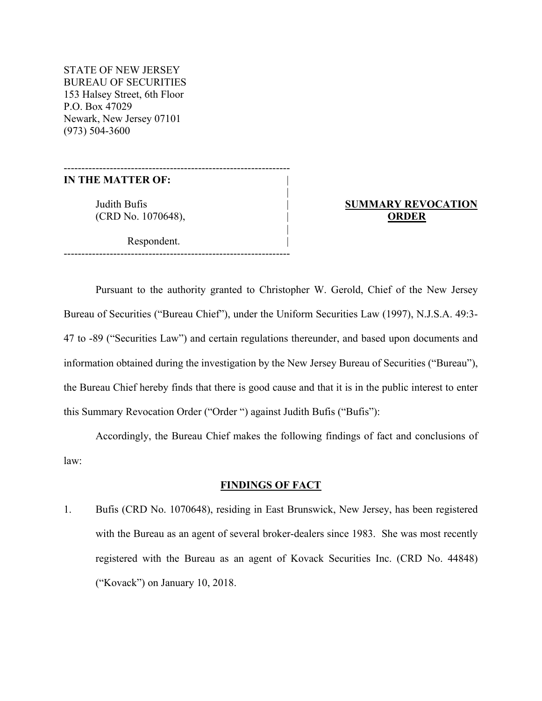STATE OF NEW JERSEY BUREAU OF SECURITIES 153 Halsey Street, 6th Floor P.O. Box 47029 Newark, New Jersey 07101 (973) 504-3600

#### **IN THE MATTER OF:** |

(CRD No. 1070648), | **ORDER**

Respondent.

----------------------------------------------------------------

|

|

----------------------------------------------------------------

# Judith Bufis | **SUMMARY REVOCATION**

Pursuant to the authority granted to Christopher W. Gerold, Chief of the New Jersey Bureau of Securities ("Bureau Chief"), under the Uniform Securities Law (1997), N.J.S.A. 49:3- 47 to -89 ("Securities Law") and certain regulations thereunder, and based upon documents and information obtained during the investigation by the New Jersey Bureau of Securities ("Bureau"), the Bureau Chief hereby finds that there is good cause and that it is in the public interest to enter this Summary Revocation Order ("Order ") against Judith Bufis ("Bufis"):

Accordingly, the Bureau Chief makes the following findings of fact and conclusions of law:

#### **FINDINGS OF FACT**

1. Bufis (CRD No. 1070648), residing in East Brunswick, New Jersey, has been registered with the Bureau as an agent of several broker-dealers since 1983. She was most recently registered with the Bureau as an agent of Kovack Securities Inc. (CRD No. 44848) ("Kovack") on January 10, 2018.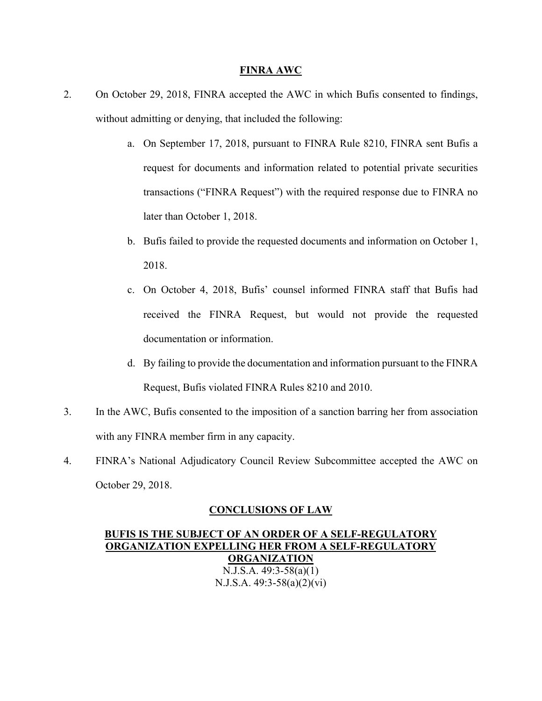#### **FINRA AWC**

- 2. On October 29, 2018, FINRA accepted the AWC in which Bufis consented to findings, without admitting or denying, that included the following:
	- a. On September 17, 2018, pursuant to FINRA Rule 8210, FINRA sent Bufis a request for documents and information related to potential private securities transactions ("FINRA Request") with the required response due to FINRA no later than October 1, 2018.
	- b. Bufis failed to provide the requested documents and information on October 1, 2018.
	- c. On October 4, 2018, Bufis' counsel informed FINRA staff that Bufis had received the FINRA Request, but would not provide the requested documentation or information.
	- d. By failing to provide the documentation and information pursuant to the FINRA Request, Bufis violated FINRA Rules 8210 and 2010.
- 3. In the AWC, Bufis consented to the imposition of a sanction barring her from association with any FINRA member firm in any capacity.
- 4. FINRA's National Adjudicatory Council Review Subcommittee accepted the AWC on October 29, 2018.

### **CONCLUSIONS OF LAW**

**BUFIS IS THE SUBJECT OF AN ORDER OF A SELF-REGULATORY ORGANIZATION EXPELLING HER FROM A SELF-REGULATORY ORGANIZATION**  N.J.S.A. 49:3-58(a)(1) N.J.S.A. 49:3-58(a)(2)(vi)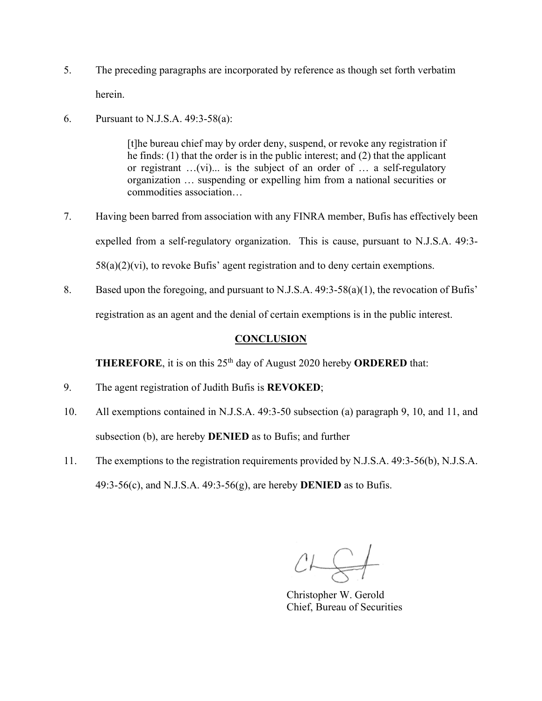- 5. The preceding paragraphs are incorporated by reference as though set forth verbatim herein.
- 6. Pursuant to N.J.S.A. 49:3-58(a):

[t]he bureau chief may by order deny, suspend, or revoke any registration if he finds: (1) that the order is in the public interest; and (2) that the applicant or registrant …(vi)... is the subject of an order of … a self-regulatory organization … suspending or expelling him from a national securities or commodities association…

- 7. Having been barred from association with any FINRA member, Bufis has effectively been expelled from a self-regulatory organization. This is cause, pursuant to N.J.S.A. 49:3-  $58(a)(2)(vi)$ , to revoke Bufis' agent registration and to deny certain exemptions.
- 8. Based upon the foregoing, and pursuant to N.J.S.A. 49:3-58(a)(1), the revocation of Bufis' registration as an agent and the denial of certain exemptions is in the public interest.

## **CONCLUSION**

**THEREFORE**, it is on this 25th day of August 2020 hereby **ORDERED** that:

- 9. The agent registration of Judith Bufis is **REVOKED**;
- 10. All exemptions contained in N.J.S.A. 49:3-50 subsection (a) paragraph 9, 10, and 11, and subsection (b), are hereby **DENIED** as to Bufis; and further
- 11. The exemptions to the registration requirements provided by N.J.S.A. 49:3-56(b), N.J.S.A. 49:3-56(c), and N.J.S.A. 49:3-56(g), are hereby **DENIED** as to Bufis.

 $CL \n\xrightarrow{\sim}$ 

 Christopher W. Gerold Chief, Bureau of Securities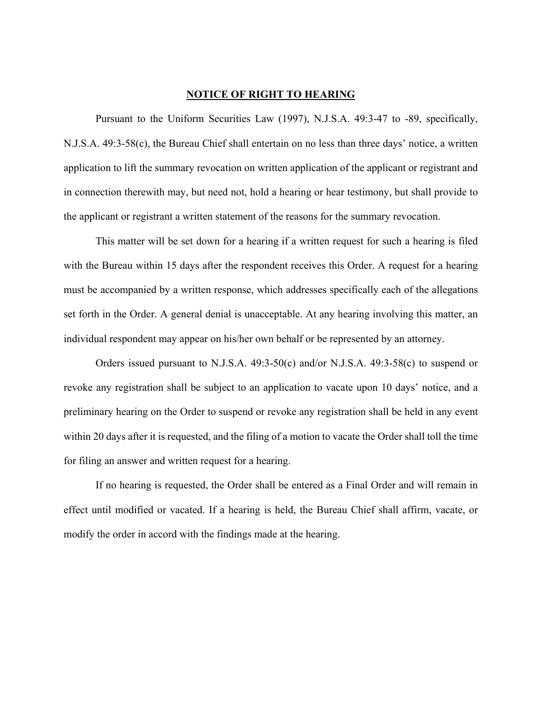#### **NOTICE OF RIGHT TO HEARING**

Pursuant to the Uniform Securities Law (1997), N.J.S.A. 49:3-47 to -89, specifically, N.J.S.A. 49:3-58(c), the Bureau Chief shall entertain on no less than three days' notice, a written application to lift the summary revocation on written application of the applicant or registrant and in connection therewith may, but need not, hold a hearing or hear testimony, but shall provide to the applicant or registrant a written statement of the reasons for the summary revocation.

This matter will be set down for a hearing if a written request for such a hearing is filed with the Bureau within 15 days after the respondent receives this Order. A request for a hearing must be accompanied by a written response, which addresses specifically each of the allegations set forth in the Order. A general denial is unacceptable. At any hearing involving this matter, an individual respondent may appear on his/her own behalf or be represented by an attorney.

Orders issued pursuant to N.J.S.A. 49:3-50(c) and/or N.J.S.A. 49:3-58(c) to suspend or revoke any registration shall be subject to an application to vacate upon 10 days' notice, and a preliminary hearing on the Order to suspend or revoke any registration shall be held in any event within 20 days after it is requested, and the filing of a motion to vacate the Order shall toll the time for filing an answer and written request for a hearing.

If no hearing is requested, the Order shall be entered as a Final Order and will remain in effect until modified or vacated. If a hearing is held, the Bureau Chief shall affirm, vacate, or modify the order in accord with the findings made at the hearing.